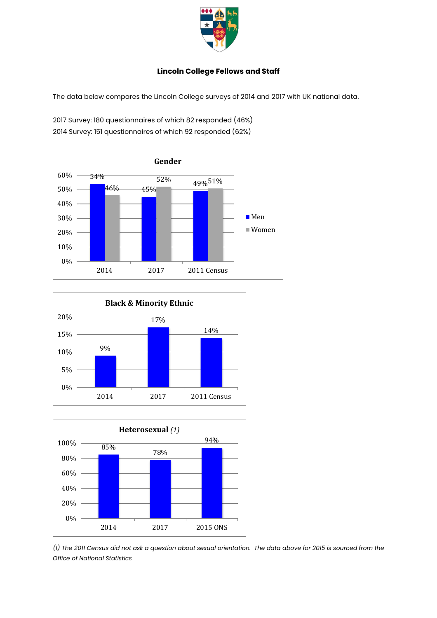

## **Lincoln College Fellows and Staff**

The data below compares the Lincoln College surveys of 2014 and 2017 with UK national data.

2017 Survey: 180 questionnaires of which 82 responded (46%) 2014 Survey: 151 questionnaires of which 92 responded (62%)







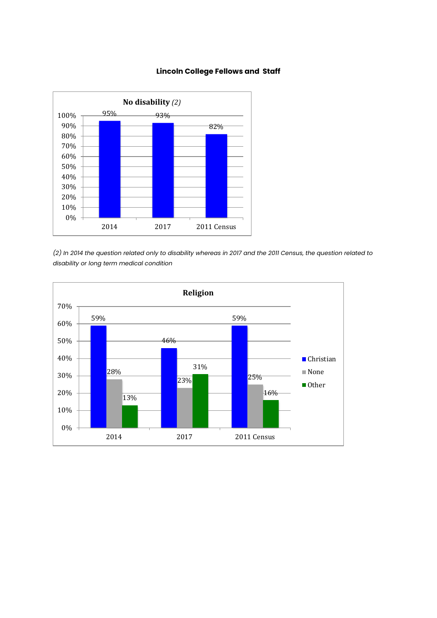

## **Lincoln College Fellows and Staff**

*(2) In 2014 the question related only to disability whereas in 2017 and the 2011 Census, the question related to disability or long term medical condition*

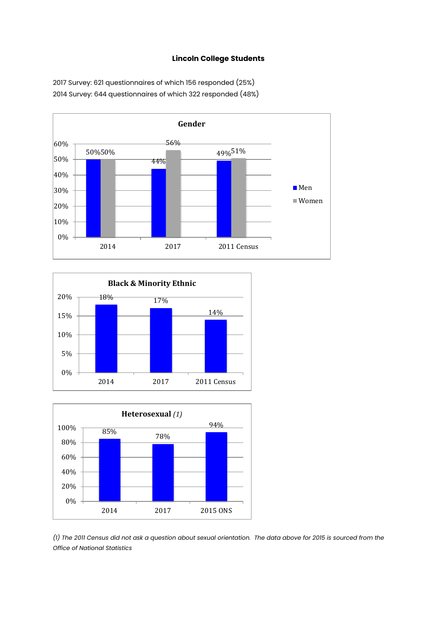## **Lincoln College Students**



2017 Survey: 621 questionnaires of which 156 responded (25%) 2014 Survey: 644 questionnaires of which 322 responded (48%)





*(1) The 2011 Census did not ask a question about sexual orientation. The data above for 2015 is sourced from the Office of National Statistics*